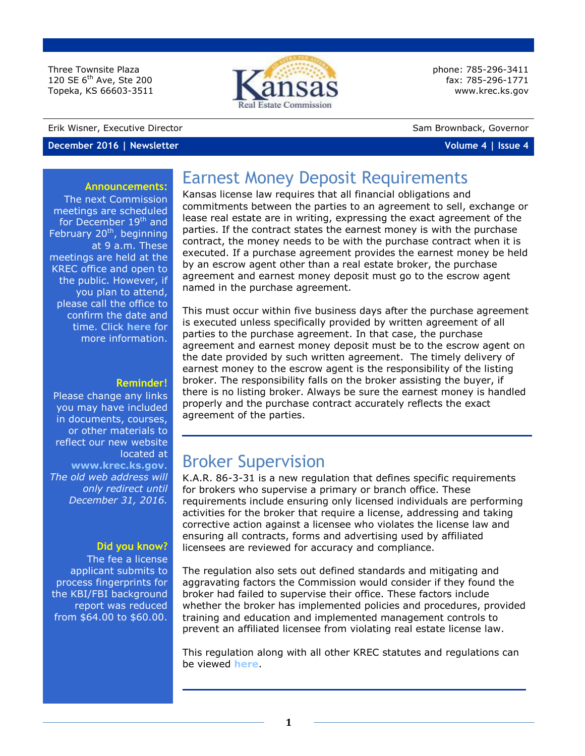Three Townsite Plaza 120 SE 6<sup>th</sup> Ave, Ste 200 Topeka, KS 66603-3511

#### Erik Wisner, Executive Director Sam Brownback, Governor

### **December 2016 | Newsletter Volume 4 | Issue 4**



phone: 785-296-3411 fax: 785-296-1771 [www.krec.ks.gov](http://www.krec.ks.gov/)

### **Announcements:**

The next Commission meetings are scheduled for December 19<sup>th</sup> and February 20<sup>th</sup>, beginning at 9 a.m. These meetings are held at the KREC office and open to the public. However, if you plan to attend, please call the office to confirm the date and time. Click **[here](http://krec.ks.gov/commission/commission-meetings)** for more information.

### **Reminder!**

Please change any links you may have included in documents, courses, or other materials to reflect our new website located at **[www.krec.ks.gov](http://www.krec.ks.gov/)**. *The old web address will only redirect until December 31, 2016.* 

### **Did you know?**

The fee a license applicant submits to process fingerprints for the KBI/FBI background report was reduced from \$64.00 to \$60.00.

### Earnest Money Deposit Requirements

Kansas license law requires that all financial obligations and commitments between the parties to an agreement to sell, exchange or lease real estate are in writing, expressing the exact agreement of the parties. If the contract states the earnest money is with the purchase contract, the money needs to be with the purchase contract when it is executed. If a purchase agreement provides the earnest money be held by an escrow agent other than a real estate broker, the purchase agreement and earnest money deposit must go to the escrow agent named in the purchase agreement.

This must occur within five business days after the purchase agreement is executed unless specifically provided by written agreement of all parties to the purchase agreement. In that case, the purchase agreement and earnest money deposit must be to the escrow agent on the date provided by such written agreement. The timely delivery of earnest money to the escrow agent is the responsibility of the listing broker. The responsibility falls on the broker assisting the buyer, if there is no listing broker. Always be sure the earnest money is handled properly and the purchase contract accurately reflects the exact agreement of the parties.

## Broker Supervision

K.A.R. 86-3-31 is a new regulation that defines specific requirements for brokers who supervise a primary or branch office. These requirements include ensuring only licensed individuals are performing activities for the broker that require a license, addressing and taking corrective action against a licensee who violates the license law and ensuring all contracts, forms and advertising used by affiliated licensees are reviewed for accuracy and compliance.

The regulation also sets out defined standards and mitigating and aggravating factors the Commission would consider if they found the broker had failed to supervise their office. These factors include whether the broker has implemented policies and procedures, provided training and education and implemented management controls to prevent an affiliated licensee from violating real estate license law.

This regulation along with all other KREC statutes and regulations can be viewed **[here](https://www.krec.ks.gov/docs/default-source/default-document-library/kansas-real-estate-commission-statutes-rules-and-regulations.pdf?sfvrsn=13)**.